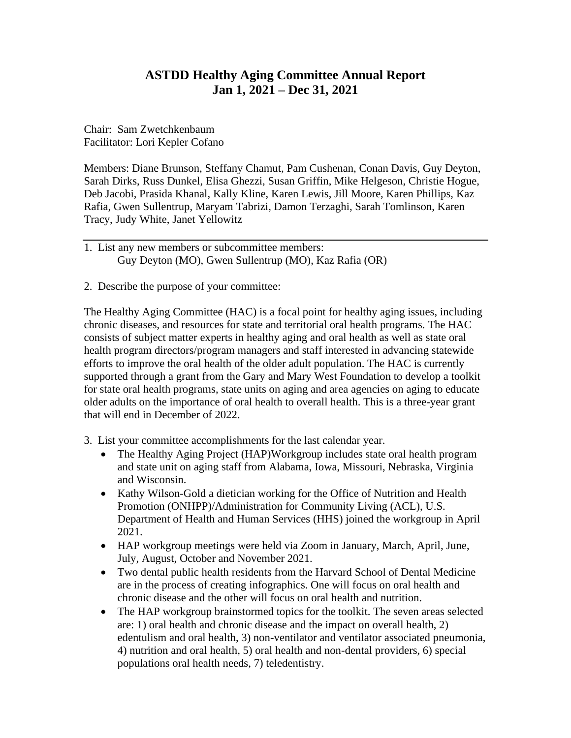## **ASTDD Healthy Aging Committee Annual Report Jan 1, 2021 – Dec 31, 2021**

Chair: Sam Zwetchkenbaum Facilitator: Lori Kepler Cofano

Members: Diane Brunson, Steffany Chamut, Pam Cushenan, Conan Davis, Guy Deyton, Sarah Dirks, Russ Dunkel, Elisa Ghezzi, Susan Griffin, Mike Helgeson, Christie Hogue, Deb Jacobi, Prasida Khanal, Kally Kline, Karen Lewis, Jill Moore, Karen Phillips, Kaz Rafia, Gwen Sullentrup, Maryam Tabrizi, Damon Terzaghi, Sarah Tomlinson, Karen Tracy, Judy White, Janet Yellowitz

- 1. List any new members or subcommittee members: Guy Deyton (MO), Gwen Sullentrup (MO), Kaz Rafia (OR)
- 2. Describe the purpose of your committee:

The Healthy Aging Committee (HAC) is a focal point for healthy aging issues, including chronic diseases, and resources for state and territorial oral health programs. The HAC consists of subject matter experts in healthy aging and oral health as well as state oral health program directors/program managers and staff interested in advancing statewide efforts to improve the oral health of the older adult population. The HAC is currently supported through a grant from the Gary and Mary West Foundation to develop a toolkit for state oral health programs, state units on aging and area agencies on aging to educate older adults on the importance of oral health to overall health. This is a three-year grant that will end in December of 2022.

3. List your committee accomplishments for the last calendar year.

- The Healthy Aging Project (HAP)Workgroup includes state oral health program and state unit on aging staff from Alabama, Iowa, Missouri, Nebraska, Virginia and Wisconsin.
- Kathy Wilson-Gold a dietician working for the Office of Nutrition and Health Promotion (ONHPP)/Administration for Community Living (ACL), U.S. Department of Health and Human Services (HHS) joined the workgroup in April 2021.
- HAP workgroup meetings were held via Zoom in January, March, April, June, July, August, October and November 2021.
- Two dental public health residents from the Harvard School of Dental Medicine are in the process of creating infographics. One will focus on oral health and chronic disease and the other will focus on oral health and nutrition.
- The HAP workgroup brainstormed topics for the toolkit. The seven areas selected are: 1) oral health and chronic disease and the impact on overall health, 2) edentulism and oral health, 3) non-ventilator and ventilator associated pneumonia, 4) nutrition and oral health, 5) oral health and non-dental providers, 6) special populations oral health needs, 7) teledentistry.